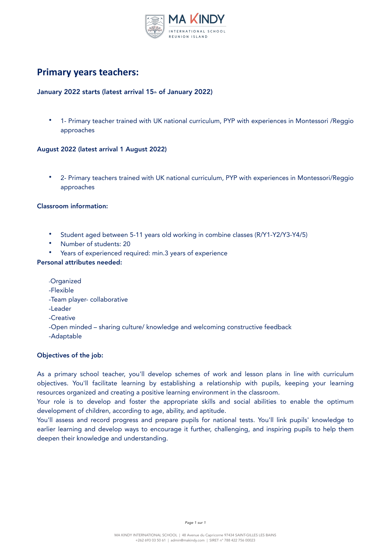

# **Primary years teachers:**

# January 2022 starts (latest arrival 15<sup>th</sup> of January 2022)

• 1- Primary teacher trained with UK national curriculum, PYP with experiences in Montessori /Reggio approaches

#### August 2022 (latest arrival 1 August 2022)

• 2- Primary teachers trained with UK national curriculum, PYP with experiences in Montessori/Reggio approaches

#### Classroom information:

- Student aged between 5-11 years old working in combine classes (R/Y1-Y2/Y3-Y4/5)
- Number of students: 20
- Years of experienced required: min.3 years of experience

# Personal attributes needed:

-Organized -Flexible -Team player- collaborative -Leader -Creative -Open minded – sharing culture/ knowledge and welcoming constructive feedback -Adaptable

### Objectives of the job:

As a primary school teacher, you'll develop schemes of work and lesson plans in line with curriculum objectives. You'll facilitate learning by establishing a relationship with pupils, keeping your learning resources organized and creating a positive learning environment in the classroom.

Your role is to develop and foster the appropriate skills and social abilities to enable the optimum development of children, according to age, ability, and aptitude.

You'll assess and record progress and prepare pupils for national tests. You'll link pupils' knowledge to earlier learning and develop ways to encourage it further, challenging, and inspiring pupils to help them deepen their knowledge and understanding.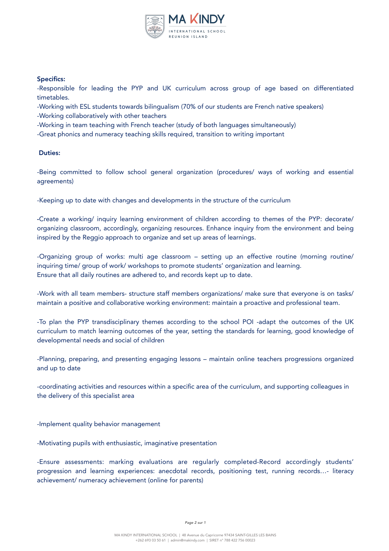

### Specifics:

-Responsible for leading the PYP and UK curriculum across group of age based on differentiated timetables.

-Working with ESL students towards bilingualism (70% of our students are French native speakers)

-Working collaboratively with other teachers

-Working in team teaching with French teacher (study of both languages simultaneously)

-Great phonics and numeracy teaching skills required, transition to writing important

# Duties:

-Being committed to follow school general organization (procedures/ ways of working and essential agreements)

-Keeping up to date with changes and developments in the structure of the curriculum

-Create a working/ inquiry learning environment of children according to themes of the PYP: decorate/ organizing classroom, accordingly, organizing resources. Enhance inquiry from the environment and being inspired by the Reggio approach to organize and set up areas of learnings.

-Organizing group of works: multi age classroom – setting up an effective routine (morning routine/ inquiring time/ group of work/ workshops to promote students' organization and learning. Ensure that all daily routines are adhered to, and records kept up to date.

-Work with all team members- structure staff members organizations/ make sure that everyone is on tasks/ maintain a positive and collaborative working environment: maintain a proactive and professional team.

-To plan the PYP transdisciplinary themes according to the school POI -adapt the outcomes of the UK curriculum to match learning outcomes of the year, setting the standards for learning, good knowledge of developmental needs and social of children

-Planning, preparing, and presenting engaging lessons – maintain online teachers progressions organized and up to date

-coordinating activities and resources within a specific area of the curriculum, and supporting colleagues in the delivery of this specialist area

-Implement quality behavior management

-Motivating pupils with enthusiastic, imaginative presentation

-Ensure assessments: marking evaluations are regularly completed-Record accordingly students' progression and learning experiences: anecdotal records, positioning test, running records…- literacy achievement/ numeracy achievement (online for parents)